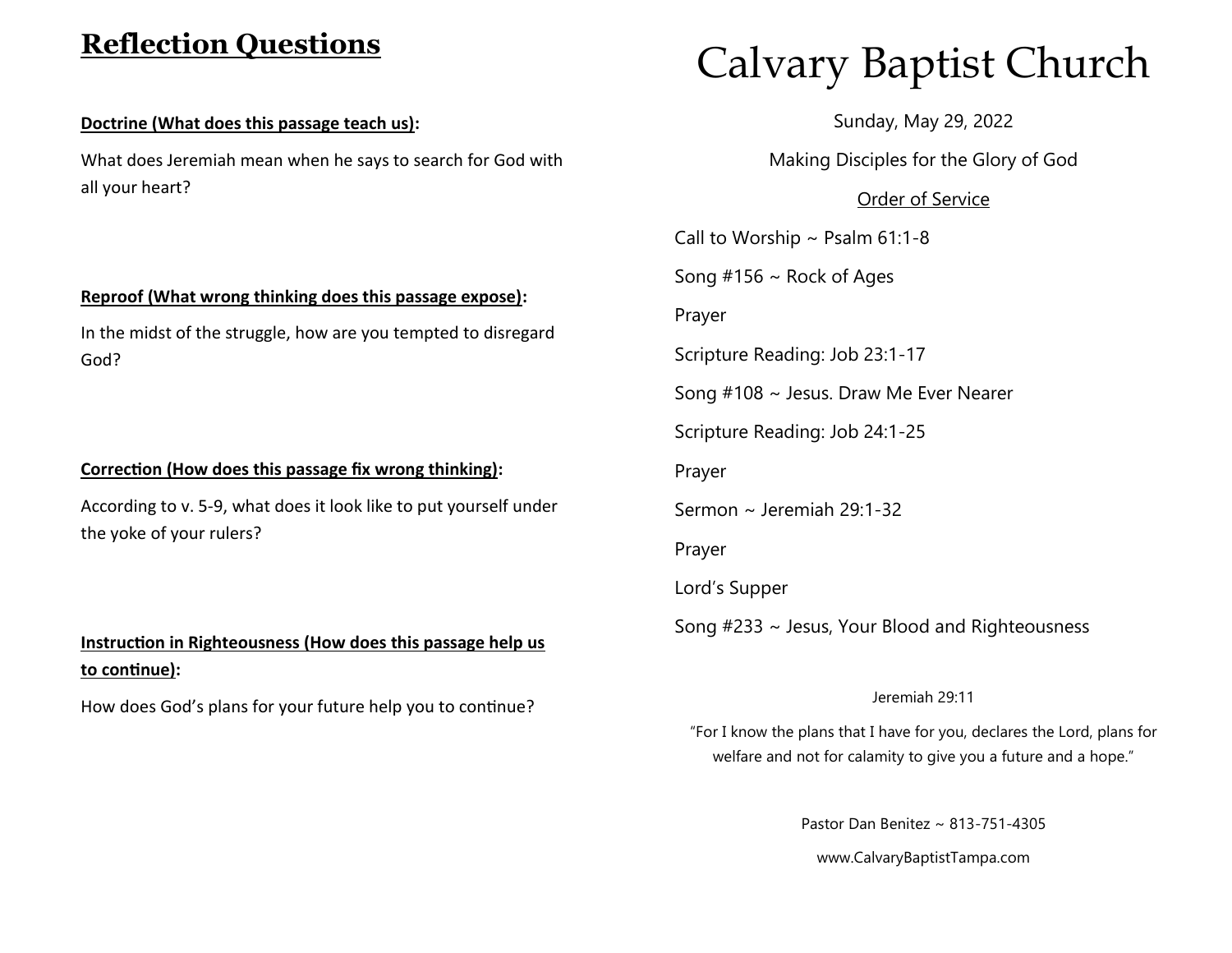# **Reflection Questions**

### **Doctrine (What does this passage teach us):**

What does Jeremiah mean when he says to search for God with all your heart?

## **Reproof (What wrong thinking does this passage expose):**

In the midst of the struggle, how are you tempted to disregard God?

## **Correction (How does this passage fix wrong thinking):**

According to v. 5-9, what does it look like to put yourself under the yoke of your rulers?

# **Instruction in Righteousness (How does this passage help us to continue):**

How does God's plans for your future help you to continue?

# Calvary Baptist Church

Sunday, May 29, 2022

Making Disciples for the Glory of God

# Order of Service

Call to Worship  $\sim$  Psalm 61:1-8

Song  $#156 \sim$  Rock of Ages

Prayer

Scripture Reading: Job 23:1-17

Song #108 ~ Jesus. Draw Me Ever Nearer

Scripture Reading: Job 24:1-25

Prayer

Sermon ~ Jeremiah 29:1-32

Prayer

Lord's Supper

Song #233 ~ Jesus, Your Blood and Righteousness

#### Jeremiah 29:11

"For I know the plans that I have for you, declares the Lord, plans for welfare and not for calamity to give you a future and a hope."

Pastor Dan Benitez ~ 813-751-4305

www.CalvaryBaptistTampa.com